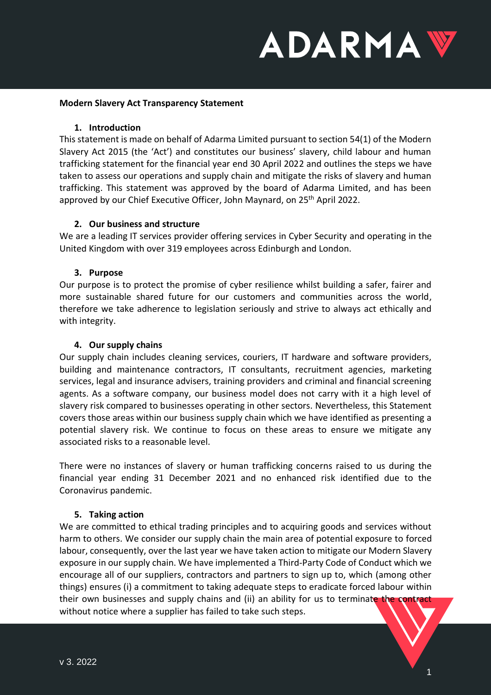# **ADARMAV**

#### **Modern Slavery Act Transparency Statement**

#### **1. Introduction**

This statement is made on behalf of Adarma Limited pursuant to section 54(1) of the Modern Slavery Act 2015 (the 'Act') and constitutes our business' slavery, child labour and human trafficking statement for the financial year end 30 April 2022 and outlines the steps we have taken to assess our operations and supply chain and mitigate the risks of slavery and human trafficking. This statement was approved by the board of Adarma Limited, and has been approved by our Chief Executive Officer, John Maynard, on 25<sup>th</sup> April 2022.

#### **2. Our business and structure**

We are a leading IT services provider offering services in Cyber Security and operating in the United Kingdom with over 319 employees across Edinburgh and London.

#### **3. Purpose**

Our purpose is to protect the promise of cyber resilience whilst building a safer, fairer and more sustainable shared future for our customers and communities across the world, therefore we take adherence to legislation seriously and strive to always act ethically and with integrity.

#### **4. Our supply chains**

Our supply chain includes cleaning services, couriers, IT hardware and software providers, building and maintenance contractors, IT consultants, recruitment agencies, marketing services, legal and insurance advisers, training providers and criminal and financial screening agents. As a software company, our business model does not carry with it a high level of slavery risk compared to businesses operating in other sectors. Nevertheless, this Statement covers those areas within our business supply chain which we have identified as presenting a potential slavery risk. We continue to focus on these areas to ensure we mitigate any associated risks to a reasonable level.

There were no instances of slavery or human trafficking concerns raised to us during the financial year ending 31 December 2021 and no enhanced risk identified due to the Coronavirus pandemic.

#### **5. Taking action**

We are committed to ethical trading principles and to acquiring goods and services without harm to others. We consider our supply chain the main area of potential exposure to forced labour, consequently, over the last year we have taken action to mitigate our Modern Slavery exposure in our supply chain. We have implemented a Third-Party Code of Conduct which we encourage all of our suppliers, contractors and partners to sign up to, which (among other things) ensures (i) a commitment to taking adequate steps to eradicate forced labour within their own businesses and supply chains and (ii) an ability for us to terminate the contract without notice where a supplier has failed to take such steps.